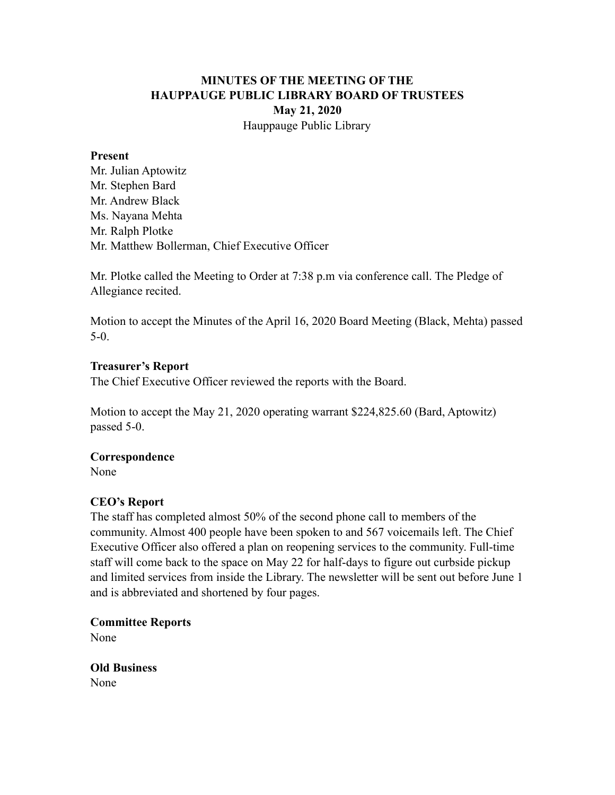## **MINUTES OF THE MEETING OF THE HAUPPAUGE PUBLIC LIBRARY BOARD OF TRUSTEES May 21, 2020** Hauppauge Public Library

#### **Present**

Mr. Julian Aptowitz Mr. Stephen Bard Mr. Andrew Black Ms. Nayana Mehta Mr. Ralph Plotke Mr. Matthew Bollerman, Chief Executive Officer

Mr. Plotke called the Meeting to Order at 7:38 p.m via conference call. The Pledge of Allegiance recited.

Motion to accept the Minutes of the April 16, 2020 Board Meeting (Black, Mehta) passed 5-0.

#### **Treasurer's Report**

The Chief Executive Officer reviewed the reports with the Board.

Motion to accept the May 21, 2020 operating warrant \$224,825.60 (Bard, Aptowitz) passed 5-0.

### **Correspondence**

None

### **CEO's Report**

The staff has completed almost 50% of the second phone call to members of the community. Almost 400 people have been spoken to and 567 voicemails left. The Chief Executive Officer also offered a plan on reopening services to the community. Full-time staff will come back to the space on May 22 for half-days to figure out curbside pickup and limited services from inside the Library. The newsletter will be sent out before June 1 and is abbreviated and shortened by four pages.

**Committee Reports** 

None

**Old Business**  None